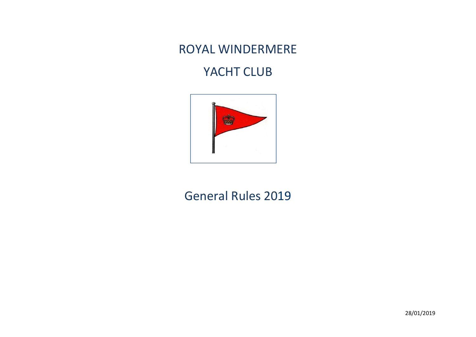## ROYAL WINDERMERE

## YACHT CLUB



## General Rules 2019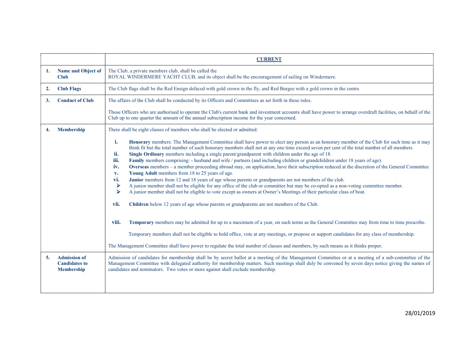|    |                                                                  | <b>CURRENT</b>                                                                                                                                                                                                                                                                                                                                                                                                                                                                                                                                                                                                                                                                                                                                                                                                                                                                                                                                                                                                                                                                                                                                                                                                                                                                                                                                                                                                                                                                                                                                                                                                                                                                                                      |
|----|------------------------------------------------------------------|---------------------------------------------------------------------------------------------------------------------------------------------------------------------------------------------------------------------------------------------------------------------------------------------------------------------------------------------------------------------------------------------------------------------------------------------------------------------------------------------------------------------------------------------------------------------------------------------------------------------------------------------------------------------------------------------------------------------------------------------------------------------------------------------------------------------------------------------------------------------------------------------------------------------------------------------------------------------------------------------------------------------------------------------------------------------------------------------------------------------------------------------------------------------------------------------------------------------------------------------------------------------------------------------------------------------------------------------------------------------------------------------------------------------------------------------------------------------------------------------------------------------------------------------------------------------------------------------------------------------------------------------------------------------------------------------------------------------|
| 1. | Name and Object of<br><b>Club</b>                                | The Club, a private members club, shall be called the<br>ROYAL WINDERMERE YACHT CLUB, and its object shall be the encouragement of sailing on Windermere.                                                                                                                                                                                                                                                                                                                                                                                                                                                                                                                                                                                                                                                                                                                                                                                                                                                                                                                                                                                                                                                                                                                                                                                                                                                                                                                                                                                                                                                                                                                                                           |
| 2. | <b>Club Flags</b>                                                | The Club flags shall be the Red Ensign defaced with gold crown in the fly, and Red Burgee with a gold crown in the centre.                                                                                                                                                                                                                                                                                                                                                                                                                                                                                                                                                                                                                                                                                                                                                                                                                                                                                                                                                                                                                                                                                                                                                                                                                                                                                                                                                                                                                                                                                                                                                                                          |
| 3. | <b>Conduct of Club</b>                                           | The affairs of the Club shall be conducted by its Officers and Committees as set forth in these rules.                                                                                                                                                                                                                                                                                                                                                                                                                                                                                                                                                                                                                                                                                                                                                                                                                                                                                                                                                                                                                                                                                                                                                                                                                                                                                                                                                                                                                                                                                                                                                                                                              |
|    |                                                                  | Those Officers who are authorised to operate the Club's current bank and investment accounts shall have power to arrange overdraft facilities, on behalf of the<br>Club up to one quarter the amount of the annual subscription income for the year concerned.                                                                                                                                                                                                                                                                                                                                                                                                                                                                                                                                                                                                                                                                                                                                                                                                                                                                                                                                                                                                                                                                                                                                                                                                                                                                                                                                                                                                                                                      |
| 4. | <b>Membership</b>                                                | There shall be eight classes of members who shall be elected or admitted:                                                                                                                                                                                                                                                                                                                                                                                                                                                                                                                                                                                                                                                                                                                                                                                                                                                                                                                                                                                                                                                                                                                                                                                                                                                                                                                                                                                                                                                                                                                                                                                                                                           |
|    |                                                                  | i.<br>Honorary members: The Management Committee shall have power to elect any person as an honorary member of the Club for such time as it may<br>think fit but the total number of such honorary members shall not at any one time exceed seven per cent of the total number of all members.<br>ii.<br>Single Ordinary members including a single parent/grandparent with children under the age of 18.<br>iii.<br>Family members comprising: - husband and wife / partners (and including children or grandchildren under 18 years of age).<br>Overseas members - a member proceeding abroad may, on application, have their subscription reduced at the discretion of the General Committee<br>iv.<br>Young Adult members from 18 to 25 years of age.<br>V <sub>1</sub><br>Junior members from 12 and 18 years of age whose parents or grandparents are not members of the club.<br>vi.<br>A junior member shall not be eligible for any office of the club or committee but may be co-opted as a non-voting committee member.<br>➤<br>A junior member shall not be eligible to vote except as owners at Owner's Meetings of their particular class of boat.<br>➤<br>vii.<br>Children below 12 years of age whose parents or grandparents are not members of the Club.<br>Temporary members may be admitted for up to a maximum of a year, on such terms as the General Committee may from time to time prescribe.<br>viii.<br>Temporary members shall not be eligible to hold office, vote at any meetings, or propose or support candidates for any class of membership.<br>The Management Committee shall have power to regulate the total number of classes and members, by such means as it thinks proper. |
| 5. | <b>Admission of</b><br><b>Candidates to</b><br><b>Membership</b> | Admission of candidates for membership shall be by secret ballot at a meeting of the Management Committee or at a meeting of a sub-committee of the<br>Management Committee with delegated authority for membership matters. Such meetings shall duly be convened by seven days notice giving the names of<br>candidates and nominators. Two votes or more against shall exclude membership.                                                                                                                                                                                                                                                                                                                                                                                                                                                                                                                                                                                                                                                                                                                                                                                                                                                                                                                                                                                                                                                                                                                                                                                                                                                                                                                        |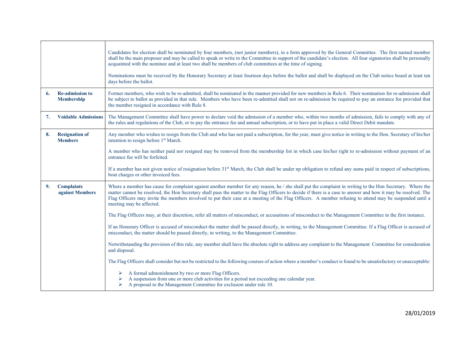|    |                                             | Candidates for election shall be nominated by four members, (not junior members), in a form approved by the General Committee. The first named member<br>shall be the main proposer and may be called to speak or write to the Committee in support of the candidate's election. All four signatories shall be personally<br>acquainted with the nominee and at least two shall be members of club committees at the time of signing.<br>Nominations must be received by the Honorary Secretary at least fourteen days before the ballot and shall be displayed on the Club notice board at least ten<br>days before the ballot. |
|----|---------------------------------------------|----------------------------------------------------------------------------------------------------------------------------------------------------------------------------------------------------------------------------------------------------------------------------------------------------------------------------------------------------------------------------------------------------------------------------------------------------------------------------------------------------------------------------------------------------------------------------------------------------------------------------------|
| 6. | <b>Re-admission to</b><br><b>Membership</b> | Former members, who wish to be re-admitted, shall be nominated in the manner provided for new members in Rule 6. Their nomination for re-admission shall<br>be subject to ballot as provided in that rule. Members who have been re-admitted shall not on re-admission be required to pay an entrance fee provided that<br>the member resigned in accordance with Rule 8.                                                                                                                                                                                                                                                        |
| 7. | <b>Voidable Admissions</b>                  | The Management Committee shall have power to declare void the admission of a member who, within two months of admission, fails to comply with any of<br>the rules and regulations of the Club, or to pay the entrance fee and annual subscription, or to have put in place a valid Direct Debit mandate.                                                                                                                                                                                                                                                                                                                         |
| 8. | <b>Resignation of</b><br><b>Members</b>     | Any member who wishes to resign from the Club and who has not paid a subscription, for the year, must give notice in writing to the Hon. Secretary of his/her<br>intention to resign before 1 <sup>st</sup> March.                                                                                                                                                                                                                                                                                                                                                                                                               |
|    |                                             | A member who has neither paid nor resigned may be removed from the membership list in which case his/her right to re-admission without payment of an<br>entrance fee will be forfeited.                                                                                                                                                                                                                                                                                                                                                                                                                                          |
|    |                                             | If a member has not given notice of resignation before 31 <sup>st</sup> March, the Club shall be under np obligation to refund any sums paid in respect of subscriptions,<br>boat charges or other invoiced fees.                                                                                                                                                                                                                                                                                                                                                                                                                |
| 9. | <b>Complaints</b><br>against Members        | Where a member has cause for complaint against another member for any reason, he / she shall put the complaint in writing to the Hon Secretary. Where the<br>matter cannot be resolved, the Hon Secretary shall pass the matter to the Flag Officers to decide if there is a case to answer and how it may be resolved. The<br>Flag Officers may invite the members involved to put their case at a meeting of the Flag Officers. A member refusing to attend may be suspended until a<br>meeting may be affected.                                                                                                               |
|    |                                             | The Flag Officers may, at their discretion, refer all matters of misconduct, or accusations of misconduct to the Management Committee in the first instance.                                                                                                                                                                                                                                                                                                                                                                                                                                                                     |
|    |                                             | If an Honorary Officer is accused of misconduct the matter shall be passed directly, in writing, to the Management Committee. If a Flag Officer is accused of<br>misconduct, the matter should be passed directly, in writing, to the Management Committee.                                                                                                                                                                                                                                                                                                                                                                      |
|    |                                             | Notwithstanding the provision of this rule, any member shall have the absolute right to address any complaint to the Management Committee for consideration<br>and disposal.                                                                                                                                                                                                                                                                                                                                                                                                                                                     |
|    |                                             | The Flag Officers shall consider but not be restricted to the following courses of action where a member's conduct is found to be unsatisfactory or unacceptable:                                                                                                                                                                                                                                                                                                                                                                                                                                                                |
|    |                                             | A formal admonishment by two or more Flag Officers.<br>➤<br>A suspension from one or more club activities for a period not exceeding one calendar year.<br>A proposal to the Management Committee for exclusion under rule 10.                                                                                                                                                                                                                                                                                                                                                                                                   |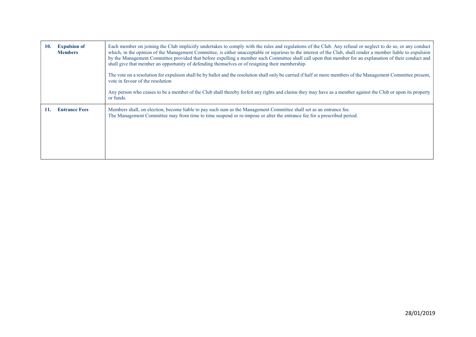| 10. | <b>Expulsion of</b><br><b>Members</b> | Each member on joining the Club implicitly undertakes to comply with the rules and regulations of the Club. Any refusal or neglect to do so, or any conduct<br>which, in the opinion of the Management Committee, is either unacceptable or injurious to the interest of the Club, shall render a member liable to expulsion<br>by the Management Committee provided that before expelling a member such Committee shall call upon that member for an explanation of their conduct and<br>shall give that member an opportunity of defending themselves or of resigning their membership.<br>The vote on a resolution for expulsion shall be by ballot and the resolution shall only be carried if half or more members of the Management Committee present,<br>vote in favour of the resolution<br>Any person who ceases to be a member of the Club shall thereby forfeit any rights and claims they may have as a member against the Club or upon its property<br>or funds. |
|-----|---------------------------------------|-------------------------------------------------------------------------------------------------------------------------------------------------------------------------------------------------------------------------------------------------------------------------------------------------------------------------------------------------------------------------------------------------------------------------------------------------------------------------------------------------------------------------------------------------------------------------------------------------------------------------------------------------------------------------------------------------------------------------------------------------------------------------------------------------------------------------------------------------------------------------------------------------------------------------------------------------------------------------------|
| 11. | <b>Entrance Fees</b>                  | Members shall, on election, become liable to pay such sum as the Management Committee shall set as an entrance fee.<br>The Management Committee may from time to time suspend or re-impose or alter the entrance fee for a prescribed period.                                                                                                                                                                                                                                                                                                                                                                                                                                                                                                                                                                                                                                                                                                                                 |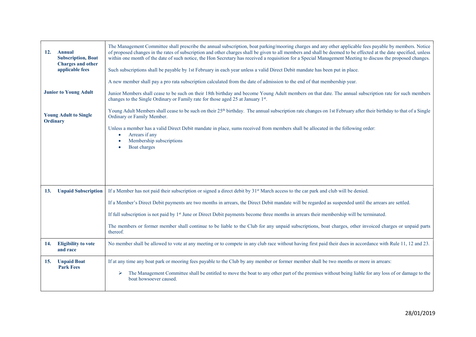| <b>12.</b><br>Annual<br><b>Subscription, Boat</b><br><b>Charges and other</b><br>applicable fees | The Management Committee shall prescribe the annual subscription, boat parking/mooring charges and any other applicable fees payable by members. Notice<br>of proposed changes in the rates of subscription and other charges shall be given to all members and shall be deemed to be effected at the date specified, unless<br>within one month of the date of such notice, the Hon Secretary has received a requisition for a Special Management Meeting to discuss the proposed changes.<br>Such subscriptions shall be payable by 1st February in each year unless a valid Direct Debit mandate has been put in place.<br>A new member shall pay a pro rata subscription calculated from the date of admission to the end of that membership year. |
|--------------------------------------------------------------------------------------------------|--------------------------------------------------------------------------------------------------------------------------------------------------------------------------------------------------------------------------------------------------------------------------------------------------------------------------------------------------------------------------------------------------------------------------------------------------------------------------------------------------------------------------------------------------------------------------------------------------------------------------------------------------------------------------------------------------------------------------------------------------------|
| <b>Junior to Young Adult</b>                                                                     | Junior Members shall cease to be such on their 18th birthday and become Young Adult members on that date. The annual subscription rate for such members<br>changes to the Single Ordinary or Family rate for those aged 25 at January 1st.                                                                                                                                                                                                                                                                                                                                                                                                                                                                                                             |
| <b>Young Adult to Single</b><br><b>Ordinary</b>                                                  | Young Adult Members shall cease to be such on their 25 <sup>th</sup> birthday. The annual subscription rate changes on 1st February after their birthday to that of a Single<br>Ordinary or Family Member.                                                                                                                                                                                                                                                                                                                                                                                                                                                                                                                                             |
|                                                                                                  | Unless a member has a valid Direct Debit mandate in place, sums received from members shall be allocated in the following order:<br>Arrears if any<br>$\bullet$<br>Membership subscriptions<br>Boat charges                                                                                                                                                                                                                                                                                                                                                                                                                                                                                                                                            |
| <b>Unpaid Subscription</b><br>13.                                                                | If a Member has not paid their subscription or signed a direct debit by 31 <sup>st</sup> March access to the car park and club will be denied.                                                                                                                                                                                                                                                                                                                                                                                                                                                                                                                                                                                                         |
|                                                                                                  | If a Member's Direct Debit payments are two months in arrears, the Direct Debit mandate will be regarded as suspended until the arrears are settled.                                                                                                                                                                                                                                                                                                                                                                                                                                                                                                                                                                                                   |
|                                                                                                  | If full subscription is not paid by 1 <sup>st</sup> June or Direct Debit payments become three months in arrears their membership will be terminated.                                                                                                                                                                                                                                                                                                                                                                                                                                                                                                                                                                                                  |
|                                                                                                  | The members or former member shall continue to be liable to the Club for any unpaid subscriptions, boat charges, other invoiced charges or unpaid parts<br>thereof.                                                                                                                                                                                                                                                                                                                                                                                                                                                                                                                                                                                    |
| <b>Eligibility to vote</b><br>14.<br>and race                                                    | No member shall be allowed to vote at any meeting or to compete in any club race without having first paid their dues in accordance with Rule 11, 12 and 23.                                                                                                                                                                                                                                                                                                                                                                                                                                                                                                                                                                                           |
| <b>Unpaid Boat</b><br>15.<br><b>Park Fees</b>                                                    | If at any time any boat park or mooring fees payable to the Club by any member or former member shall be two months or more in arrears:                                                                                                                                                                                                                                                                                                                                                                                                                                                                                                                                                                                                                |
|                                                                                                  | The Management Committee shall be entitled to move the boat to any other part of the premises without being liable for any loss of or damage to the<br>➤<br>boat howsoever caused.                                                                                                                                                                                                                                                                                                                                                                                                                                                                                                                                                                     |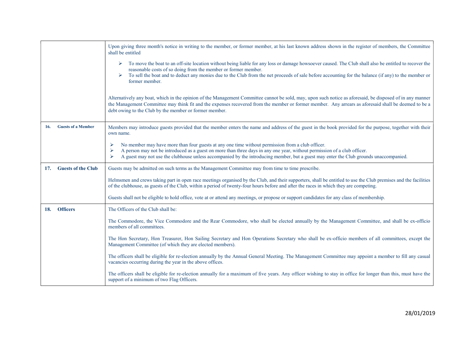|                                  | Upon giving three month's notice in writing to the member, or former member, at his last known address shown in the register of members, the Committee<br>shall be entitled                                                                                                                                                                                                                                |
|----------------------------------|------------------------------------------------------------------------------------------------------------------------------------------------------------------------------------------------------------------------------------------------------------------------------------------------------------------------------------------------------------------------------------------------------------|
|                                  | To move the boat to an off-site location without being liable for any loss or damage howsoever caused. The Club shall also be entitled to recover the<br>➤<br>reasonable costs of so doing from the member or former member.<br>To sell the boat and to deduct any monies due to the Club from the net proceeds of sale before accounting for the balance (if any) to the member or<br>➤<br>former member. |
|                                  | Alternatively any boat, which in the opinion of the Management Committee cannot be sold, may, upon such notice as aforesaid, be disposed of in any manner<br>the Management Committee may think fit and the expenses recovered from the member or former member. Any arrears as aforesaid shall be deemed to be a<br>debt owing to the Club by the member or former member.                                |
| <b>Guests of a Member</b><br>16. | Members may introduce guests provided that the member enters the name and address of the guest in the book provided for the purpose, together with their<br>own name.                                                                                                                                                                                                                                      |
|                                  | No member may have more than four guests at any one time without permission from a club officer.<br>⋗<br>A person may not be introduced as a guest on more than three days in any one year, without permission of a club officer.<br>⋗<br>A guest may not use the clubhouse unless accompanied by the introducing member, but a guest may enter the Club grounds unaccompanied.<br>⋗                       |
| <b>Guests of the Club</b><br>17. | Guests may be admitted on such terms as the Management Committee may from time to time prescribe.                                                                                                                                                                                                                                                                                                          |
|                                  | Helmsmen and crews taking part in open race meetings organised by the Club, and their supporters, shall be entitled to use the Club premises and the facilities<br>of the clubhouse, as guests of the Club, within a period of twenty-four hours before and after the races in which they are competing.                                                                                                   |
|                                  | Guests shall not be eligible to hold office, vote at or attend any meetings, or propose or support candidates for any class of membership.                                                                                                                                                                                                                                                                 |
| <b>Officers</b><br><b>18.</b>    | The Officers of the Club shall be:                                                                                                                                                                                                                                                                                                                                                                         |
|                                  | The Commodore, the Vice Commodore and the Rear Commodore, who shall be elected annually by the Management Committee, and shall be ex-officio<br>members of all committees.                                                                                                                                                                                                                                 |
|                                  | The Hon Secretary, Hon Treasurer, Hon Sailing Secretary and Hon Operations Secretary who shall be ex-officio members of all committees, except the<br>Management Committee (of which they are elected members).                                                                                                                                                                                            |
|                                  | The officers shall be eligible for re-election annually by the Annual General Meeting. The Management Committee may appoint a member to fill any casual<br>vacancies occurring during the year in the above offices.                                                                                                                                                                                       |
|                                  | The officers shall be eligible for re-election annually for a maximum of five years. Any officer wishing to stay in office for longer than this, must have the<br>support of a minimum of two Flag Officers.                                                                                                                                                                                               |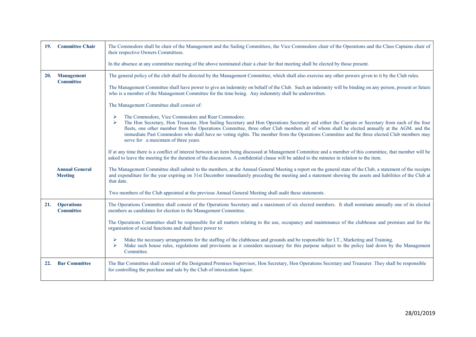| 19. | <b>Committee Chair</b>                  | The Commodore shall be chair of the Management and the Sailing Committees, the Vice Commodore chair of the Operations and the Class Captains chair of<br>their respective Owners Committees.                                                                                                                                                                                                                                                                                                                                                    |
|-----|-----------------------------------------|-------------------------------------------------------------------------------------------------------------------------------------------------------------------------------------------------------------------------------------------------------------------------------------------------------------------------------------------------------------------------------------------------------------------------------------------------------------------------------------------------------------------------------------------------|
|     |                                         | In the absence at any committee meeting of the above nominated chair a chair for that meeting shall be elected by those present.                                                                                                                                                                                                                                                                                                                                                                                                                |
| 20. | <b>Management</b><br><b>Committee</b>   | The general policy of the club shall be directed by the Management Committee, which shall also exercise any other powers given to it by the Club rules.                                                                                                                                                                                                                                                                                                                                                                                         |
|     |                                         | The Management Committee shall have power to give an indemnity on behalf of the Club. Such an indemnity will be binding on any person, present or future<br>who is a member of the Management Committee for the time being. Any indemnity shall be underwritten.                                                                                                                                                                                                                                                                                |
|     |                                         | The Management Committee shall consist of:                                                                                                                                                                                                                                                                                                                                                                                                                                                                                                      |
|     |                                         | The Commodore, Vice Commodore and Rear Commodore.<br>➤<br>The Hon Secretary, Hon Treasurer, Hon Sailing Secretary and Hon Operations Secretary and either the Captain or Secretary from each of the four<br>➤<br>fleets, one other member from the Operations Committee, three other Club members all of whom shall be elected annually at the AGM. and the<br>immediate Past Commodore who shall have no voting rights. The member from the Operations Committee and the three elected Club members may<br>serve for a maximum of three years. |
|     |                                         | If at any time there is a conflict of interest between an item being discussed at Management Committee and a member of this committee, that member will be<br>asked to leave the meeting for the duration of the discussion. A confidential clause will be added to the minutes in relation to the item.                                                                                                                                                                                                                                        |
|     | <b>Annual General</b><br><b>Meeting</b> | The Management Committee shall submit to the members, at the Annual General Meeting a report on the general state of the Club, a statement of the receipts<br>and expenditure for the year expiring on 31st December immediately preceding the meeting and a statement showing the assets and liabilities of the Club at<br>that date.                                                                                                                                                                                                          |
|     |                                         | Two members of the Club appointed at the previous Annual General Meeting shall audit these statements.                                                                                                                                                                                                                                                                                                                                                                                                                                          |
| 21. | <b>Operations</b><br><b>Committee</b>   | The Operations Committee shall consist of the Operations Secretary and a maximum of six elected members. It shall nominate annually one of its elected<br>members as candidates for election to the Management Committee.                                                                                                                                                                                                                                                                                                                       |
|     |                                         | The Operations Committee shall be responsible for all matters relating to the use, occupancy and maintenance of the clubhouse and premises and for the<br>organisation of social functions and shall have power to:                                                                                                                                                                                                                                                                                                                             |
|     |                                         | Make the necessary arrangements for the staffing of the clubhouse and grounds and be responsible for I.T., Marketing and Training.<br>➤<br>Make such house rules, regulations and provisions as it considers necessary for this purpose subject to the policy laid down by the Management<br>⋗<br>Committee.                                                                                                                                                                                                                                    |
| 22. | <b>Bar Committee</b>                    | The Bar Committee shall consist of the Designated Premises Supervisor, Hon Secretary, Hon Operations Secretary and Treasurer. They shall be responsible<br>for controlling the purchase and sale by the Club of intoxication liquor.                                                                                                                                                                                                                                                                                                            |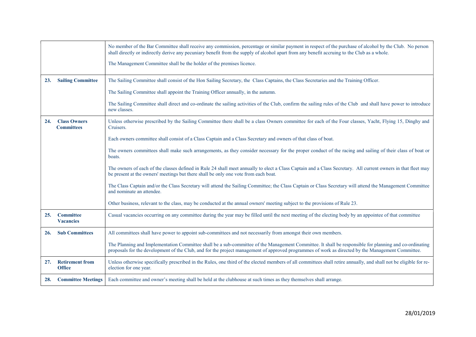|     |                                          | No member of the Bar Committee shall receive any commission, percentage or similar payment in respect of the purchase of alcohol by the Club. No person<br>shall directly or indirectly derive any pecuniary benefit from the supply of alcohol apart from any benefit accruing to the Club as a whole.     |
|-----|------------------------------------------|-------------------------------------------------------------------------------------------------------------------------------------------------------------------------------------------------------------------------------------------------------------------------------------------------------------|
|     |                                          | The Management Committee shall be the holder of the premises licence.                                                                                                                                                                                                                                       |
| 23. | <b>Sailing Committee</b>                 | The Sailing Committee shall consist of the Hon Sailing Secretary, the Class Captains, the Class Secretaries and the Training Officer.                                                                                                                                                                       |
|     |                                          | The Sailing Committee shall appoint the Training Officer annually, in the autumn.                                                                                                                                                                                                                           |
|     |                                          | The Sailing Committee shall direct and co-ordinate the sailing activities of the Club, confirm the sailing rules of the Club and shall have power to introduce<br>new classes.                                                                                                                              |
| 24. | <b>Class Owners</b><br><b>Committees</b> | Unless otherwise prescribed by the Sailing Committee there shall be a class Owners committee for each of the Four classes, Yacht, Flying 15, Dinghy and<br>Cruisers.                                                                                                                                        |
|     |                                          | Each owners committee shall consist of a Class Captain and a Class Secretary and owners of that class of boat.                                                                                                                                                                                              |
|     |                                          | The owners committees shall make such arrangements, as they consider necessary for the proper conduct of the racing and sailing of their class of boat or<br>boats.                                                                                                                                         |
|     |                                          | The owners of each of the classes defined in Rule 24 shall meet annually to elect a Class Captain and a Class Secretary. All current owners in that fleet may<br>be present at the owners' meetings but there shall be only one vote from each boat.                                                        |
|     |                                          | The Class Captain and/or the Class Secretary will attend the Sailing Committee; the Class Captain or Class Secretary will attend the Management Committee<br>and nominate an attendee.                                                                                                                      |
|     |                                          | Other business, relevant to the class, may be conducted at the annual owners' meeting subject to the provisions of Rule 23.                                                                                                                                                                                 |
| 25. | <b>Committee</b><br><b>Vacancies</b>     | Casual vacancies occurring on any committee during the year may be filled until the next meeting of the electing body by an appointee of that committee                                                                                                                                                     |
| 26. | <b>Sub Committees</b>                    | All committees shall have power to appoint sub-committees and not necessarily from amongst their own members.                                                                                                                                                                                               |
|     |                                          | The Planning and Implementation Committee shall be a sub-committee of the Management Committee. It shall be responsible for planning and co-ordinating<br>proposals for the development of the Club, and for the project management of approved programmes of work as directed by the Management Committee. |
| 27. | <b>Retirement from</b><br><b>Office</b>  | Unless otherwise specifically prescribed in the Rules, one third of the elected members of all committees shall retire annually, and shall not be eligible for re-<br>election for one year.                                                                                                                |
| 28. | <b>Committee Meetings</b>                | Each committee and owner's meeting shall be held at the clubhouse at such times as they themselves shall arrange.                                                                                                                                                                                           |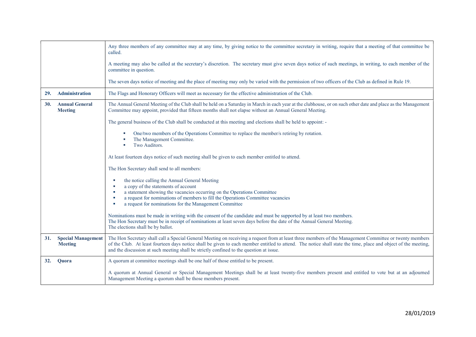|     |                                             | Any three members of any committee may at any time, by giving notice to the committee secretary in writing, require that a meeting of that committee be<br>called.                                                                                                                                                                                                                                                   |
|-----|---------------------------------------------|----------------------------------------------------------------------------------------------------------------------------------------------------------------------------------------------------------------------------------------------------------------------------------------------------------------------------------------------------------------------------------------------------------------------|
|     |                                             | A meeting may also be called at the secretary's discretion. The secretary must give seven days notice of such meetings, in writing, to each member of the<br>committee in question.                                                                                                                                                                                                                                  |
|     |                                             | The seven days notice of meeting and the place of meeting may only be varied with the permission of two officers of the Club as defined in Rule 19.                                                                                                                                                                                                                                                                  |
| 29. | Administration                              | The Flags and Honorary Officers will meet as necessary for the effective administration of the Club.                                                                                                                                                                                                                                                                                                                 |
| 30. | <b>Annual General</b><br><b>Meeting</b>     | The Annual General Meeting of the Club shall be held on a Saturday in March in each year at the clubhouse, or on such other date and place as the Management<br>Committee may appoint, provided that fifteen months shall not elapse without an Annual General Meeting.                                                                                                                                              |
|     |                                             | The general business of the Club shall be conducted at this meeting and elections shall be held to appoint: -                                                                                                                                                                                                                                                                                                        |
|     |                                             | One/two members of the Operations Committee to replace the member/s retiring by rotation.<br>The Management Committee.<br>Two Auditors.                                                                                                                                                                                                                                                                              |
|     |                                             | At least fourteen days notice of such meeting shall be given to each member entitled to attend.                                                                                                                                                                                                                                                                                                                      |
|     |                                             | The Hon Secretary shall send to all members:                                                                                                                                                                                                                                                                                                                                                                         |
|     |                                             | the notice calling the Annual General Meeting<br>ш                                                                                                                                                                                                                                                                                                                                                                   |
|     |                                             | a copy of the statements of account<br>a statement showing the vacancies occurring on the Operations Committee                                                                                                                                                                                                                                                                                                       |
|     |                                             | a request for nominations of members to fill the Operations Committee vacancies<br>a request for nominations for the Management Committee<br>×                                                                                                                                                                                                                                                                       |
|     |                                             | Nominations must be made in writing with the consent of the candidate and must be supported by at least two members.<br>The Hon Secretary must be in receipt of nominations at least seven days before the date of the Annual General Meeting.<br>The elections shall be by ballot.                                                                                                                                  |
| 31. | <b>Special Management</b><br><b>Meeting</b> | The Hon Secretary shall call a Special General Meeting on receiving a request from at least three members of the Management Committee or twenty members<br>of the Club. At least fourteen days notice shall be given to each member entitled to attend. The notice shall state the time, place and object of the meeting,<br>and the discussion at such meeting shall be strictly confined to the question at issue. |
| 32. | Quora                                       | A quorum at committee meetings shall be one half of those entitled to be present.                                                                                                                                                                                                                                                                                                                                    |
|     |                                             | A quorum at Annual General or Special Management Meetings shall be at least twenty-five members present and entitled to vote but at an adjourned<br>Management Meeting a quorum shall be those members present.                                                                                                                                                                                                      |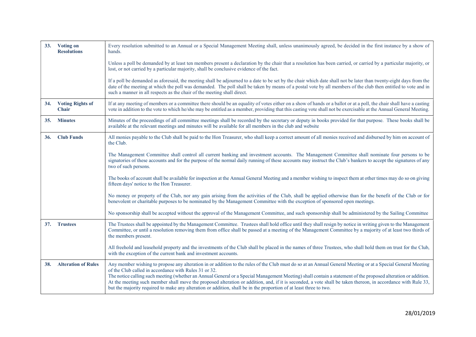| 33.        | <b>Voting on</b><br><b>Resolutions</b>  | Every resolution submitted to an Annual or a Special Management Meeting shall, unless unanimously agreed, be decided in the first instance by a show of<br>hands.                                                                                                                                                                                                                                                                                                                                                                                                                                                                                                             |
|------------|-----------------------------------------|-------------------------------------------------------------------------------------------------------------------------------------------------------------------------------------------------------------------------------------------------------------------------------------------------------------------------------------------------------------------------------------------------------------------------------------------------------------------------------------------------------------------------------------------------------------------------------------------------------------------------------------------------------------------------------|
|            |                                         | Unless a poll be demanded by at least ten members present a declaration by the chair that a resolution has been carried, or carried by a particular majority, or<br>lost, or not carried by a particular majority, shall be conclusive evidence of the fact.                                                                                                                                                                                                                                                                                                                                                                                                                  |
|            |                                         | If a poll be demanded as aforesaid, the meeting shall be adjourned to a date to be set by the chair which date shall not be later than twenty-eight days from the<br>date of the meeting at which the poll was demanded. The poll shall be taken by means of a postal vote by all members of the club then entitled to vote and in<br>such a manner in all respects as the chair of the meeting shall direct.                                                                                                                                                                                                                                                                 |
| 34.        | <b>Voting Rights of</b><br><b>Chair</b> | If at any meeting of members or a committee there should be an equality of votes either on a show of hands or a ballot or at a poll, the chair shall have a casting<br>vote in addition to the vote to which he/she may be entitled as a member, providing that this casting vote shall not be exercisable at the Annual General Meeting.                                                                                                                                                                                                                                                                                                                                     |
| <b>35.</b> | <b>Minutes</b>                          | Minutes of the proceedings of all committee meetings shall be recorded by the secretary or deputy in books provided for that purpose. These books shall be<br>available at the relevant meetings and minutes will be available for all members in the club and website                                                                                                                                                                                                                                                                                                                                                                                                        |
| <b>36.</b> | <b>Club Funds</b>                       | All monies payable to the Club shall be paid to the Hon Treasurer, who shall keep a correct amount of all monies received and disbursed by him on account of<br>the Club.                                                                                                                                                                                                                                                                                                                                                                                                                                                                                                     |
|            |                                         | The Management Committee shall control all current banking and investment accounts. The Management Committee shall nominate four persons to be<br>signatories of these accounts and for the purpose of the normal daily running of these accounts may instruct the Club's bankers to accept the signatures of any<br>two of such persons.                                                                                                                                                                                                                                                                                                                                     |
|            |                                         | The books of account shall be available for inspection at the Annual General Meeting and a member wishing to inspect them at other times may do so on giving<br>fifteen days' notice to the Hon Treasurer.                                                                                                                                                                                                                                                                                                                                                                                                                                                                    |
|            |                                         | No money or property of the Club, nor any gain arising from the activities of the Club, shall be applied otherwise than for the benefit of the Club or for<br>benevolent or charitable purposes to be nominated by the Management Committee with the exception of sponsored open meetings.                                                                                                                                                                                                                                                                                                                                                                                    |
|            |                                         | No sponsorship shall be accepted without the approval of the Management Committee, and such sponsorship shall be administered by the Sailing Committee                                                                                                                                                                                                                                                                                                                                                                                                                                                                                                                        |
| 37.        | <b>Trustees</b>                         | The Trustees shall be appointed by the Management Committee. Trustees shall hold office until they shall resign by notice in writing given to the Management<br>Committee, or until a resolution removing them from office shall be passed at a meeting of the Management Committee by a majority of at least two thirds of<br>the members present.                                                                                                                                                                                                                                                                                                                           |
|            |                                         | All freehold and leasehold property and the investments of the Club shall be placed in the names of three Trustees, who shall hold them on trust for the Club,<br>with the exception of the current bank and investment accounts.                                                                                                                                                                                                                                                                                                                                                                                                                                             |
| 38.        | <b>Alteration of Rules</b>              | Any member wishing to propose any alteration in or addition to the rules of the Club must do so at an Annual General Meeting or at a Special General Meeting<br>of the Club called in accordance with Rules 31 or 32.<br>The notice calling such meeting (whether an Annual General or a Special Management Meeting) shall contain a statement of the proposed alteration or addition.<br>At the meeting such member shall move the proposed alteration or addition, and, if it is seconded, a vote shall be taken thereon, in accordance with Rule 33,<br>but the majority required to make any alteration or addition, shall be in the proportion of at least three to two. |